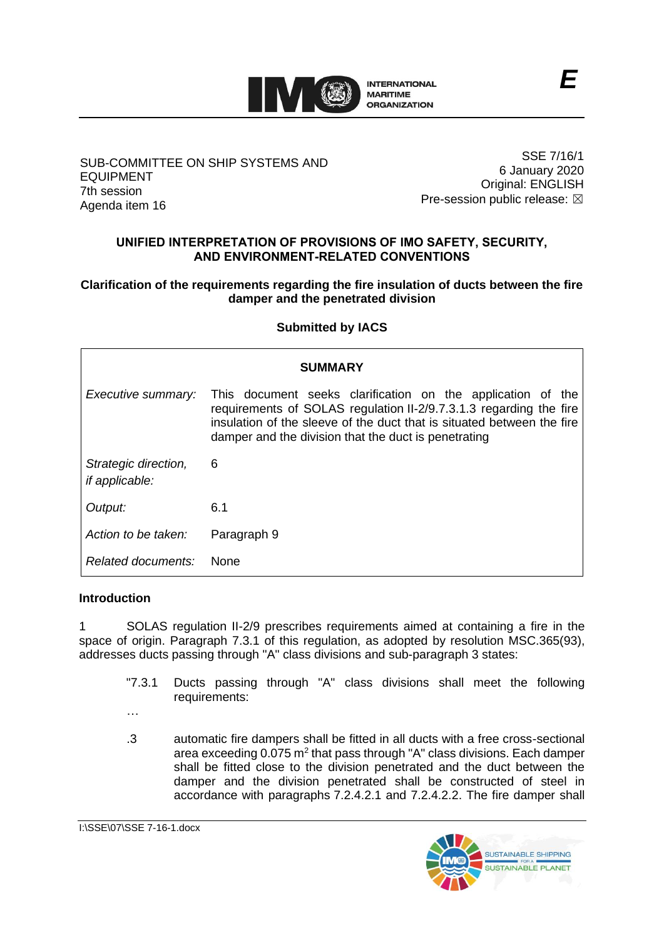

### SUB-COMMITTEE ON SHIP SYSTEMS AND EQUIPMENT 7th session Agenda item 16

SSE 7/16/1 6 January 2020 Original: ENGLISH Pre-session public release:  $\boxtimes$ 

## **UNIFIED INTERPRETATION OF PROVISIONS OF IMO SAFETY, SECURITY, AND ENVIRONMENT-RELATED CONVENTIONS**

## **Clarification of the requirements regarding the fire insulation of ducts between the fire damper and the penetrated division**

## **Submitted by IACS**

| <b>SUMMARY</b>                                |                                                                                                                                                                                                                                                                     |
|-----------------------------------------------|---------------------------------------------------------------------------------------------------------------------------------------------------------------------------------------------------------------------------------------------------------------------|
| Executive summary:                            | This document seeks clarification on the application of the<br>requirements of SOLAS regulation II-2/9.7.3.1.3 regarding the fire<br>insulation of the sleeve of the duct that is situated between the fire<br>damper and the division that the duct is penetrating |
| Strategic direction,<br><i>if applicable:</i> | 6                                                                                                                                                                                                                                                                   |
| Output:                                       | 6.1                                                                                                                                                                                                                                                                 |
| Action to be taken:                           | Paragraph 9                                                                                                                                                                                                                                                         |
| Related documents:                            | <b>None</b>                                                                                                                                                                                                                                                         |

#### **Introduction**

1 SOLAS regulation II-2/9 prescribes requirements aimed at containing a fire in the space of origin. Paragraph 7.3.1 of this regulation, as adopted by resolution MSC.365(93), addresses ducts passing through "A" class divisions and sub-paragraph 3 states:

- "7.3.1 Ducts passing through "A" class divisions shall meet the following requirements:
- .3 automatic fire dampers shall be fitted in all ducts with a free cross-sectional area exceeding  $0.075$  m<sup>2</sup> that pass through "A" class divisions. Each damper shall be fitted close to the division penetrated and the duct between the damper and the division penetrated shall be constructed of steel in accordance with paragraphs 7.2.4.2.1 and 7.2.4.2.2. The fire damper shall

…

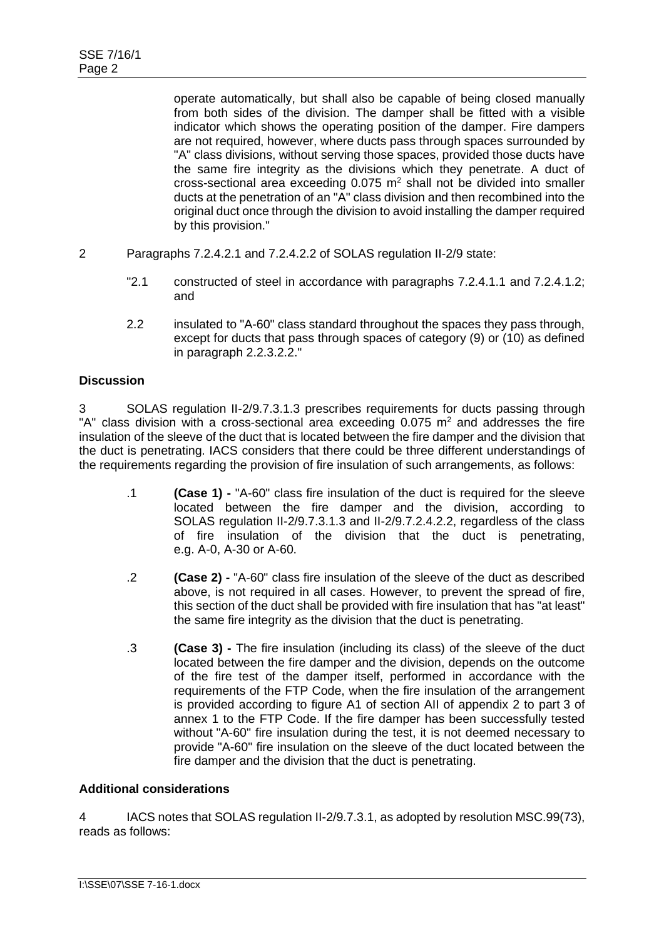operate automatically, but shall also be capable of being closed manually from both sides of the division. The damper shall be fitted with a visible indicator which shows the operating position of the damper. Fire dampers are not required, however, where ducts pass through spaces surrounded by "A" class divisions, without serving those spaces, provided those ducts have the same fire integrity as the divisions which they penetrate. A duct of cross-sectional area exceeding  $0.075$  m<sup>2</sup> shall not be divided into smaller ducts at the penetration of an "A" class division and then recombined into the original duct once through the division to avoid installing the damper required by this provision."

- 2 Paragraphs 7.2.4.2.1 and 7.2.4.2.2 of SOLAS regulation II-2/9 state:
	- "2.1 constructed of steel in accordance with paragraphs 7.2.4.1.1 and 7.2.4.1.2; and
	- 2.2 insulated to "A-60" class standard throughout the spaces they pass through, except for ducts that pass through spaces of category (9) or (10) as defined in paragraph 2.2.3.2.2."

## **Discussion**

3 SOLAS regulation II-2/9.7.3.1.3 prescribes requirements for ducts passing through "A" class division with a cross-sectional area exceeding  $0.075$  m<sup>2</sup> and addresses the fire insulation of the sleeve of the duct that is located between the fire damper and the division that the duct is penetrating. IACS considers that there could be three different understandings of the requirements regarding the provision of fire insulation of such arrangements, as follows:

- .1 **(Case 1) -** "A-60" class fire insulation of the duct is required for the sleeve located between the fire damper and the division, according to SOLAS regulation II-2/9.7.3.1.3 and II-2/9.7.2.4.2.2, regardless of the class of fire insulation of the division that the duct is penetrating, e.g. A-0, A-30 or A-60.
- .2 **(Case 2) -** "A-60" class fire insulation of the sleeve of the duct as described above, is not required in all cases. However, to prevent the spread of fire, this section of the duct shall be provided with fire insulation that has "at least" the same fire integrity as the division that the duct is penetrating.
- .3 **(Case 3) -** The fire insulation (including its class) of the sleeve of the duct located between the fire damper and the division, depends on the outcome of the fire test of the damper itself, performed in accordance with the requirements of the FTP Code, when the fire insulation of the arrangement is provided according to figure A1 of section AII of appendix 2 to part 3 of annex 1 to the FTP Code. If the fire damper has been successfully tested without "A-60" fire insulation during the test, it is not deemed necessary to provide "A-60" fire insulation on the sleeve of the duct located between the fire damper and the division that the duct is penetrating.

# **Additional considerations**

4 IACS notes that SOLAS regulation II-2/9.7.3.1, as adopted by resolution MSC.99(73), reads as follows: